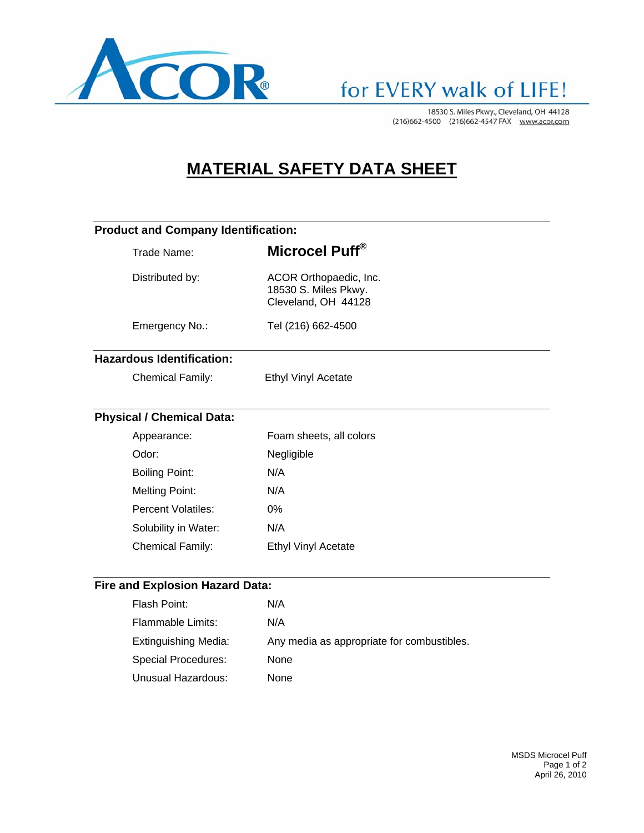

## for EVERY walk of LIFE!

18530 S. Miles Pkwy., Cleveland, OH 44128 (216)662-4500 (216)662-4547 FAX www.acor.com

### **MATERIAL SAFETY DATA SHEET**

|                                        | <b>Product and Company Identification:</b> |                                                                       |  |  |  |
|----------------------------------------|--------------------------------------------|-----------------------------------------------------------------------|--|--|--|
|                                        | Trade Name:                                | Microcel Puff <sup>®</sup>                                            |  |  |  |
|                                        | Distributed by:                            | ACOR Orthopaedic, Inc.<br>18530 S. Miles Pkwy.<br>Cleveland, OH 44128 |  |  |  |
|                                        | Emergency No.:                             | Tel (216) 662-4500                                                    |  |  |  |
|                                        | <b>Hazardous Identification:</b>           |                                                                       |  |  |  |
|                                        | <b>Chemical Family:</b>                    | <b>Ethyl Vinyl Acetate</b>                                            |  |  |  |
|                                        | <b>Physical / Chemical Data:</b>           |                                                                       |  |  |  |
|                                        | Appearance:                                | Foam sheets, all colors                                               |  |  |  |
|                                        | Odor:                                      | Negligible                                                            |  |  |  |
|                                        | <b>Boiling Point:</b>                      | N/A                                                                   |  |  |  |
|                                        | <b>Melting Point:</b>                      | N/A                                                                   |  |  |  |
|                                        | Percent Volatiles:                         | $0\%$                                                                 |  |  |  |
|                                        | Solubility in Water:                       | N/A                                                                   |  |  |  |
|                                        | <b>Chemical Family:</b>                    | <b>Ethyl Vinyl Acetate</b>                                            |  |  |  |
| <b>Fire and Explosion Hazard Data:</b> |                                            |                                                                       |  |  |  |
|                                        | Flash Point:                               | N/A                                                                   |  |  |  |

| Flash Point:         | N/A                                        |
|----------------------|--------------------------------------------|
| Flammable Limits:    | N/A                                        |
| Extinguishing Media: | Any media as appropriate for combustibles. |
| Special Procedures:  | None                                       |
| Unusual Hazardous:   | None                                       |